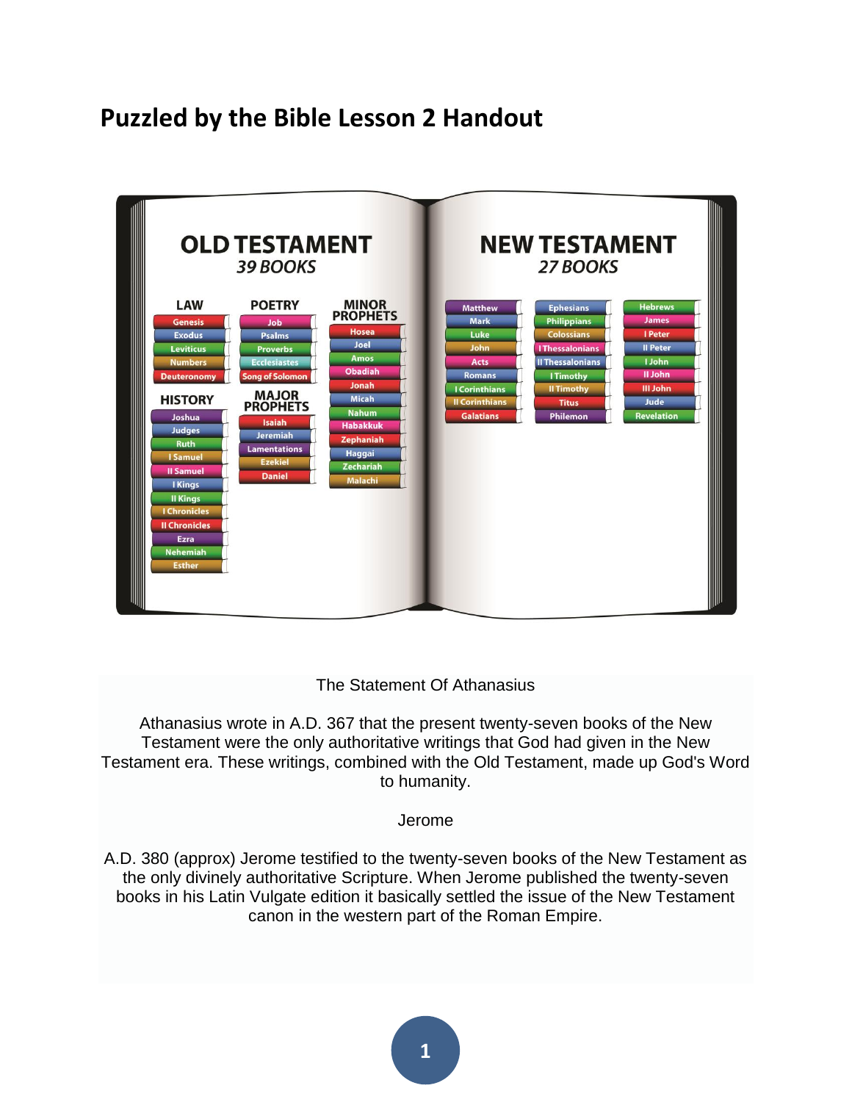### **Puzzled by the Bible Lesson 2 Handout**



#### The Statement Of Athanasius

Athanasius wrote in A.D. 367 that the present twenty-seven books of the New Testament were the only authoritative writings that God had given in the New Testament era. These writings, combined with the Old Testament, made up God's Word to humanity.

Jerome

A.D. 380 (approx) Jerome testified to the twenty-seven books of the New Testament as the only divinely authoritative Scripture. When Jerome published the twenty-seven books in his Latin Vulgate edition it basically settled the issue of the New Testament canon in the western part of the Roman Empire.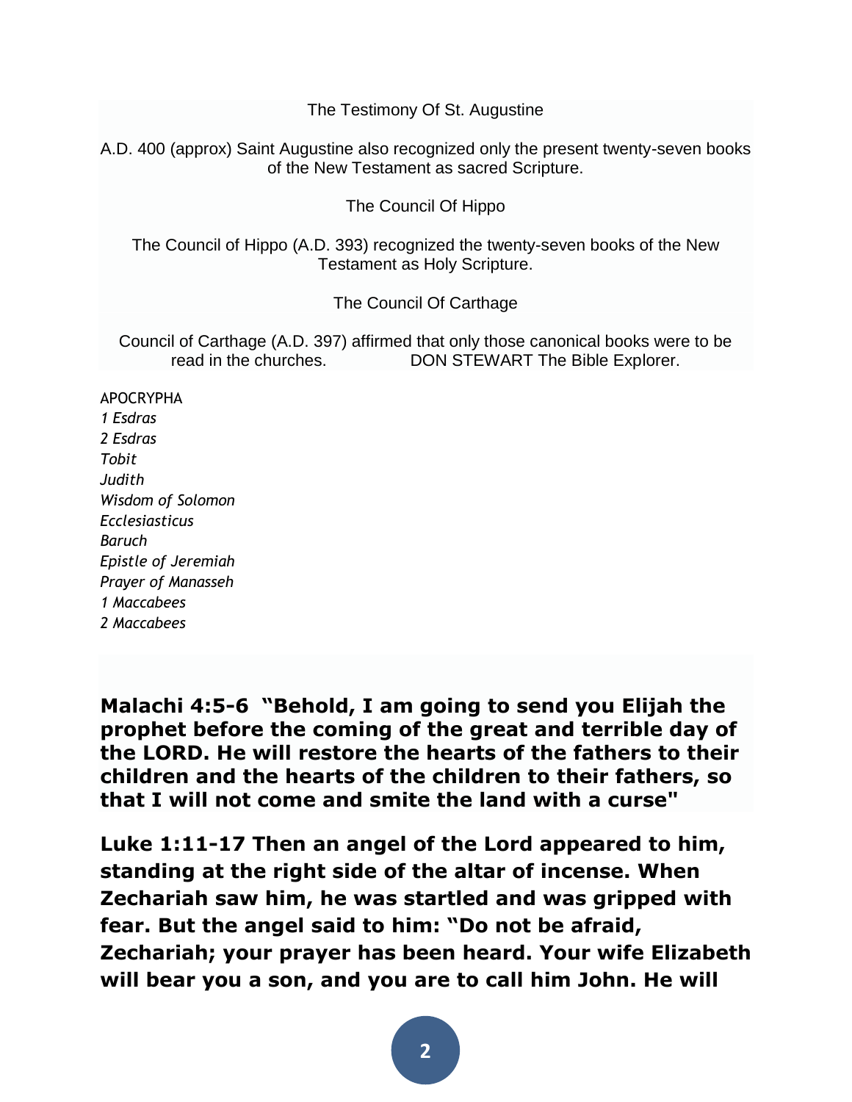The Testimony Of St. Augustine

A.D. 400 (approx) Saint Augustine also recognized only the present twenty-seven books of the New Testament as sacred Scripture.

The Council Of Hippo

The Council of Hippo (A.D. 393) recognized the twenty-seven books of the New Testament as Holy Scripture.

The Council Of Carthage

Council of Carthage (A.D. 397) affirmed that only those canonical books were to be read in the churches. DON STEWART The Bible Explorer.

APOCRYPHA *1 Esdras 2 Esdras Tobit Judith Wisdom of Solomon Ecclesiasticus Baruch Epistle of Jeremiah Prayer of Manasseh 1 Maccabees 2 Maccabees*

**[Malachi 4:5-6](http://biblia.com/bible/esv/Malachi%204.5-6) "Behold, I am going to send you Elijah the prophet before the coming of the great and terrible day of the LORD. He will restore the hearts of the fathers to their children and the hearts of the children to their fathers, so that I will not come and smite the land with a curse"** 

**Luke 1[:11-](http://biblehub.com/luke/1-11.htm)17 Then an angel of the Lord appeared to him, standing at the right side of the altar of incense. When Zechariah saw him, he was startled and was gripped with fear. But the angel said to him: "Do not be afraid, Zechariah; your prayer has been heard. Your wife Elizabeth will bear you a son, and you are to call him John. He will**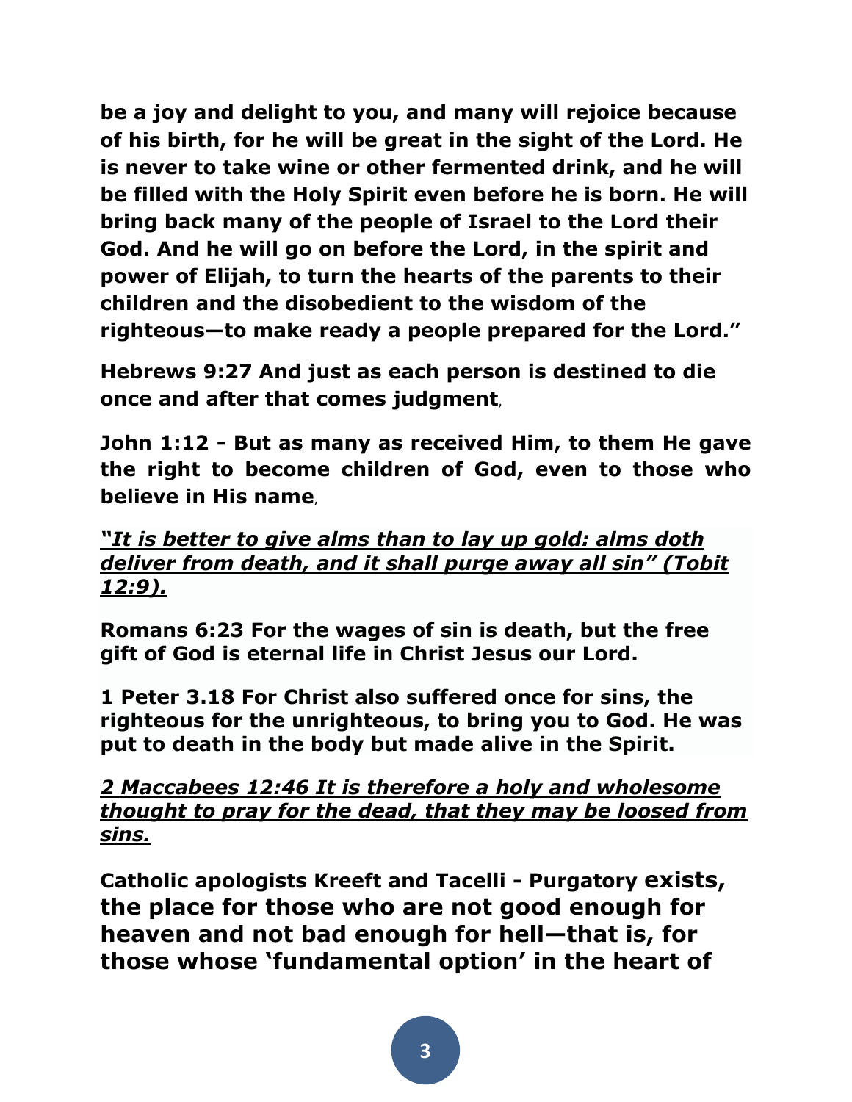**be a joy and delight to you, and many will rejoice because of his birth, for he will be great in the sight of the Lord. He is never to take wine or other fermented drink, and he will be filled with the Holy Spirit even before he is born. He will bring back many of the people of Israel to the Lord their God. And he will go on before the Lord, in the spirit and power of Elijah, to turn the hearts of the parents to their children and the disobedient to the wisdom of the righteous—to make ready a people prepared for the Lord."**

**Hebrews 9:27 And just as each person is destined to die once and after that comes judgment**,

**John 1:12 - But as many as received Him, to them He gave the right to become children of God, even to those who believe in His name**,

*"It is better to give alms than to lay up gold: alms doth deliver from death, and it shall purge away all sin" (Tobit 12:9).*

**Romans 6:23 For the wages of sin is death, but the free gift of God is eternal life in Christ Jesus our Lord.**

**1 Peter 3.18 For Christ also suffered once for sins, the righteous for the unrighteous, to bring you to God. He was put to death in the body but made alive in the Spirit.**

*2 Maccabees 12:46 It is therefore a holy and wholesome thought to pray for the dead, that they may be loosed from sins.*

**Catholic apologists Kreeft and Tacelli - Purgatory exists, the place for those who are not good enough for heaven and not bad enough for hell—that is, for those whose 'fundamental option' in the heart of**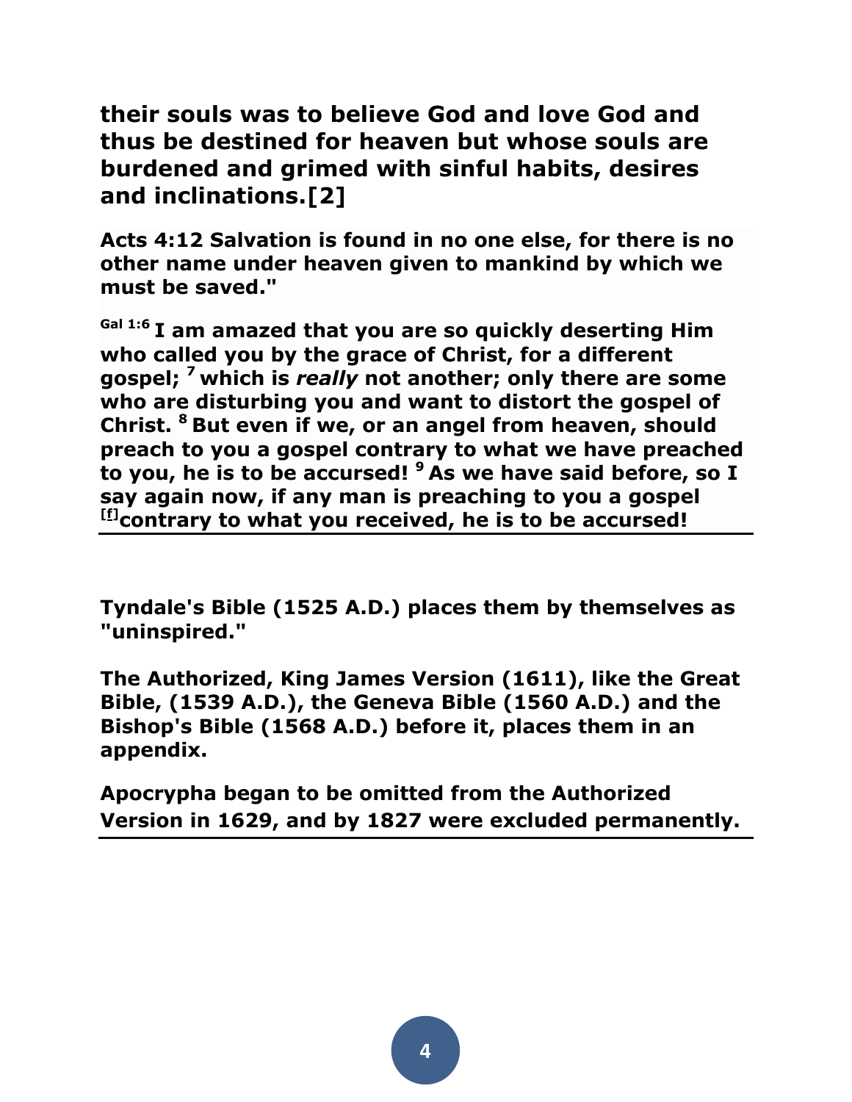**their souls was to believe God and love God and thus be destined for heaven but whose souls are burdened and grimed with sinful habits, desires and inclinations[.\[2\]](file:///D:/rochfordj/My%20Documents/Evidence%20Unseen/World%20Religions/Roman%20Catholicism/Roman%20Catholicism%20(5.%20SALVATION).docx)**

**Acts 4:12 Salvation is found in no one else, for there is no other name under heaven given to mankind by which we must be saved."**

**Gal 1:6 I am amazed that you are so quickly deserting Him who called you by the grace of Christ, for a different gospel; <sup>7</sup> which is** *really* **not another; only there are some who are disturbing you and want to distort the gospel of Christ. <sup>8</sup> But even if we, or an angel from heaven, should preach to you a gospel contrary to what we have preached to you, he is to be accursed! <sup>9</sup> As we have said before, so I say again now, if any man is preaching to you a gospel [\[f\]](https://www.biblegateway.com/passage/?search=Galatians+1&version=NASB#fen-NASB-29067f) contrary to what you received, he is to be accursed!**

**Tyndale's Bible (1525 A.D.) places them by themselves as "uninspired."** 

**The Authorized, King James Version (1611), like the Great Bible, (1539 A.D.), the Geneva Bible (1560 A.D.) and the Bishop's Bible (1568 A.D.) before it, places them in an appendix.**

**Apocrypha began to be omitted from the Authorized Version in 1629, and by 1827 were excluded permanently.**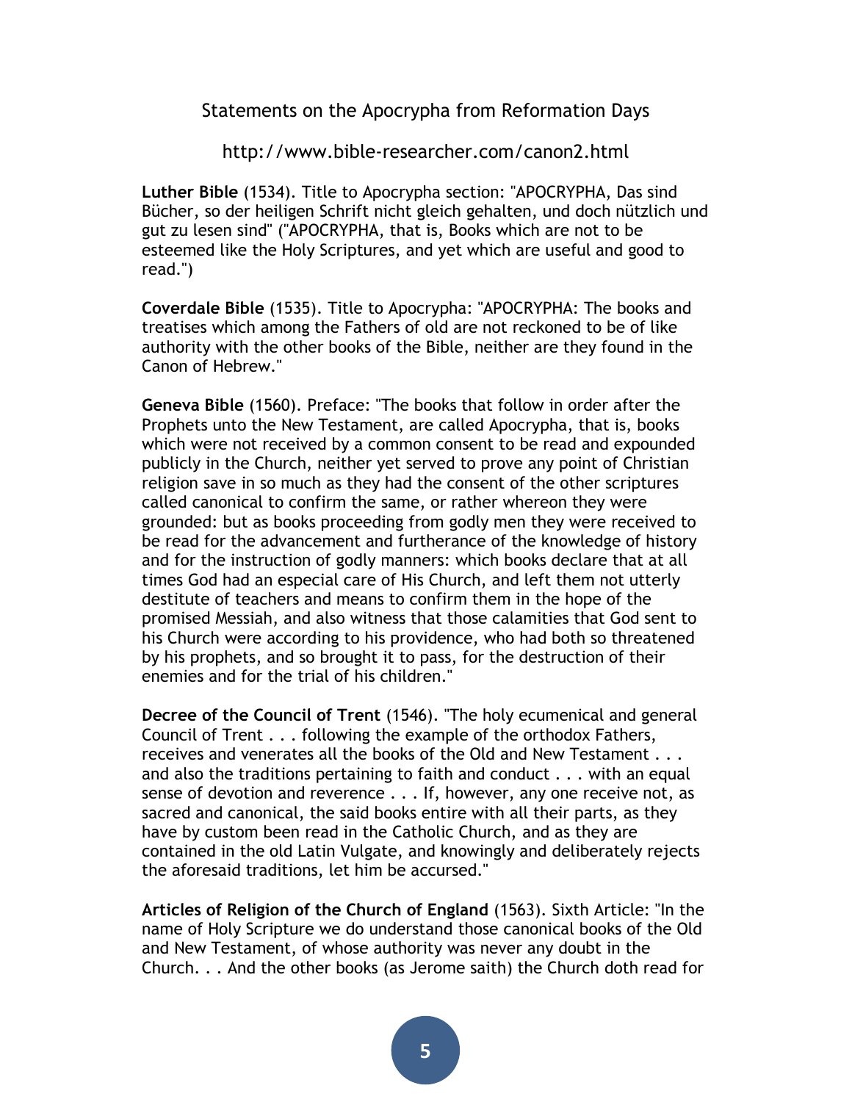Statements on the Apocrypha from Reformation Days

http://www.bible-researcher.com/canon2.html

**Luther Bible** (1534). Title to Apocrypha section: "APOCRYPHA, Das sind Bücher, so der heiligen Schrift nicht gleich gehalten, und doch nützlich und gut zu lesen sind" ("APOCRYPHA, that is, Books which are not to be esteemed like the Holy Scriptures, and yet which are useful and good to read.")

**Coverdale Bible** (1535). Title to Apocrypha: "APOCRYPHA: The books and treatises which among the Fathers of old are not reckoned to be of like authority with the other books of the Bible, neither are they found in the Canon of Hebrew."

**Geneva Bible** (1560). Preface: "The books that follow in order after the Prophets unto the New Testament, are called Apocrypha, that is, books which were not received by a common consent to be read and expounded publicly in the Church, neither yet served to prove any point of Christian religion save in so much as they had the consent of the other scriptures called canonical to confirm the same, or rather whereon they were grounded: but as books proceeding from godly men they were received to be read for the advancement and furtherance of the knowledge of history and for the instruction of godly manners: which books declare that at all times God had an especial care of His Church, and left them not utterly destitute of teachers and means to confirm them in the hope of the promised Messiah, and also witness that those calamities that God sent to his Church were according to his providence, who had both so threatened by his prophets, and so brought it to pass, for the destruction of their enemies and for the trial of his children."

**Decree of the Council of Trent** (1546). "The holy ecumenical and general Council of Trent . . . following the example of the orthodox Fathers, receives and venerates all the books of the Old and New Testament . . . and also the traditions pertaining to faith and conduct . . . with an equal sense of devotion and reverence . . . If, however, any one receive not, as sacred and canonical, the said books entire with all their parts, as they have by custom been read in the Catholic Church, and as they are contained in the old Latin Vulgate, and knowingly and deliberately rejects the aforesaid traditions, let him be accursed."

**Articles of Religion of the Church of England** (1563). Sixth Article: "In the name of Holy Scripture we do understand those canonical books of the Old and New Testament, of whose authority was never any doubt in the Church. . . And the other books (as Jerome saith) the Church doth read for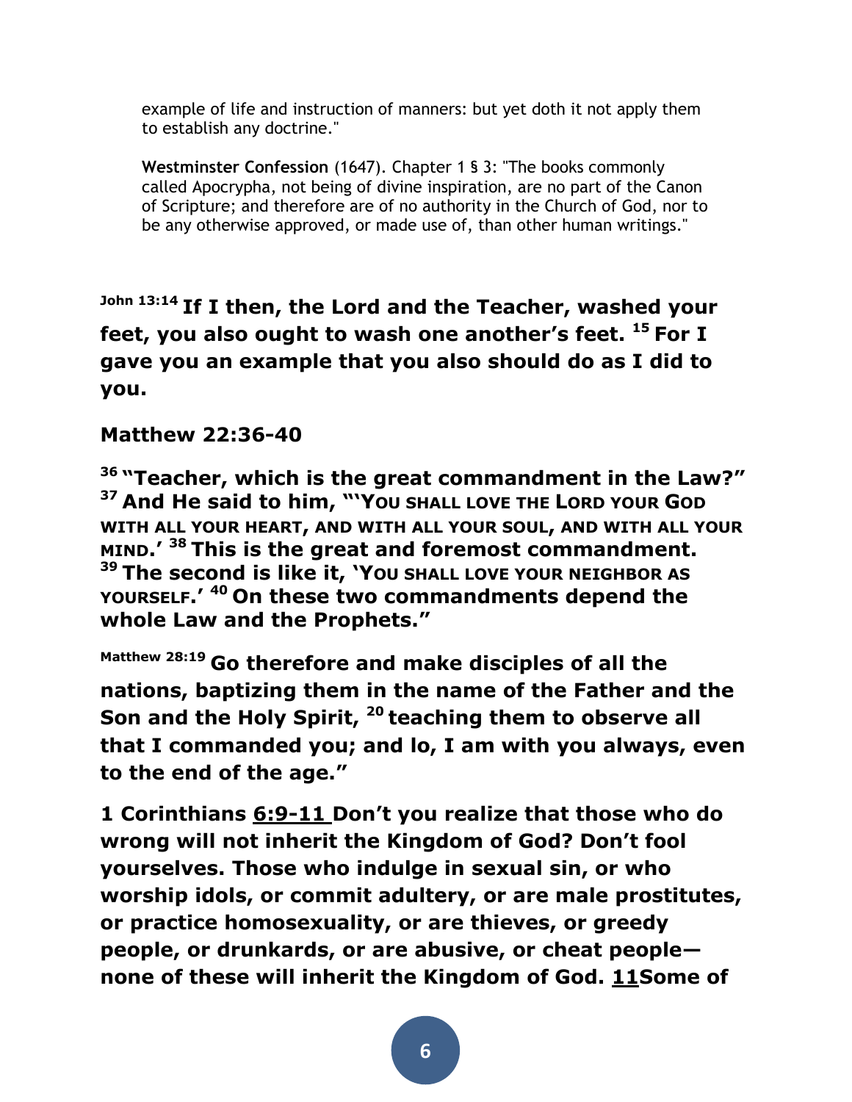example of life and instruction of manners: but yet doth it not apply them to establish any doctrine."

**Westminster Confession** (1647). Chapter 1 § 3: "The books commonly called Apocrypha, not being of divine inspiration, are no part of the Canon of Scripture; and therefore are of no authority in the Church of God, nor to be any otherwise approved, or made use of, than other human writings."

**John 13:14 If I then, the Lord and the Teacher, washed your feet, you also ought to wash one another's feet. <sup>15</sup> For I gave you an example that you also should do as I did to you.**

#### **Matthew 22:36-40**

**<sup>36</sup> "Teacher, which is the great commandment in the Law?" <sup>37</sup> And He said to him, "'YOU SHALL LOVE THE LORD YOUR GOD WITH ALL YOUR HEART, AND WITH ALL YOUR SOUL, AND WITH ALL YOUR MIND.' <sup>38</sup> This is the great and foremost commandment. <sup>39</sup> The second is like it, 'YOU SHALL LOVE YOUR NEIGHBOR AS YOURSELF.' <sup>40</sup> On these two commandments depend the whole Law and the Prophets."**

**Matthew 28:19 Go therefore and make disciples of all the nations, baptizing them in the name of the Father and the Son and the Holy Spirit, <sup>20</sup> teaching them to observe all that I commanded you; and lo, I am with you always, even to the end of the age."**

**1 Corinthians 6:9-11 Don't you realize that those who do wrong will not inherit the Kingdom of God? Don't fool yourselves. Those who indulge in sexual sin, or who worship idols, or commit adultery, or are male prostitutes, or practice homosexuality, or are thieves, or greedy people, or drunkards, or are abusive, or cheat people none of these will inherit the Kingdom of God. [11S](http://biblehub.com/1_corinthians/6-11.htm)ome of**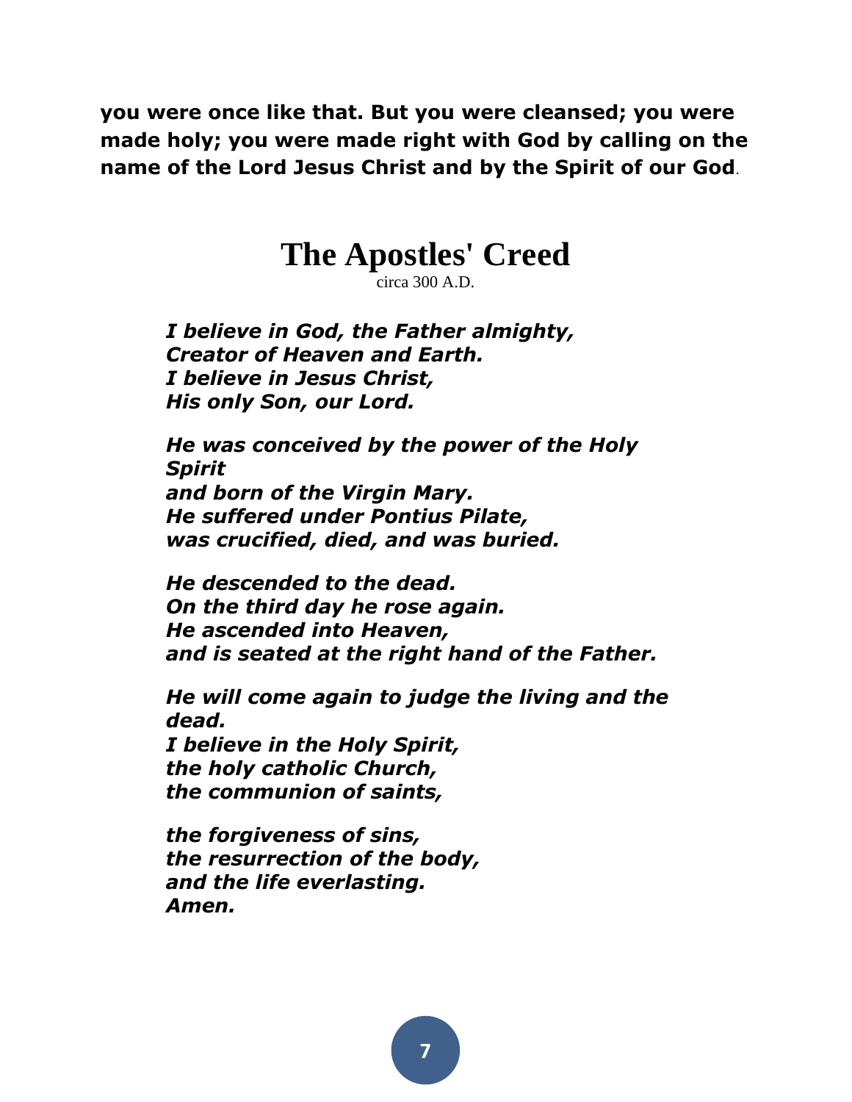**you were once like that. But you were cleansed; you were made holy; you were made right with God by calling on the name of the Lord Jesus Christ and by the Spirit of our God**.

## **The Apostles' Creed**

circa 300 A.D.

*I believe in God, the Father almighty, Creator of Heaven and Earth. I believe in Jesus Christ, His only Son, our Lord.* 

*He was conceived by the power of the Holy Spirit and born of the Virgin Mary. He suffered under Pontius Pilate, was crucified, died, and was buried.* 

*He descended to the dead. On the third day he rose again. He ascended into Heaven, and is seated at the right hand of the Father.* 

*He will come again to judge the living and the dead. I believe in the Holy Spirit, the holy catholic Church, the communion of saints,* 

*the forgiveness of sins, the resurrection of the body, and the life everlasting. Amen.*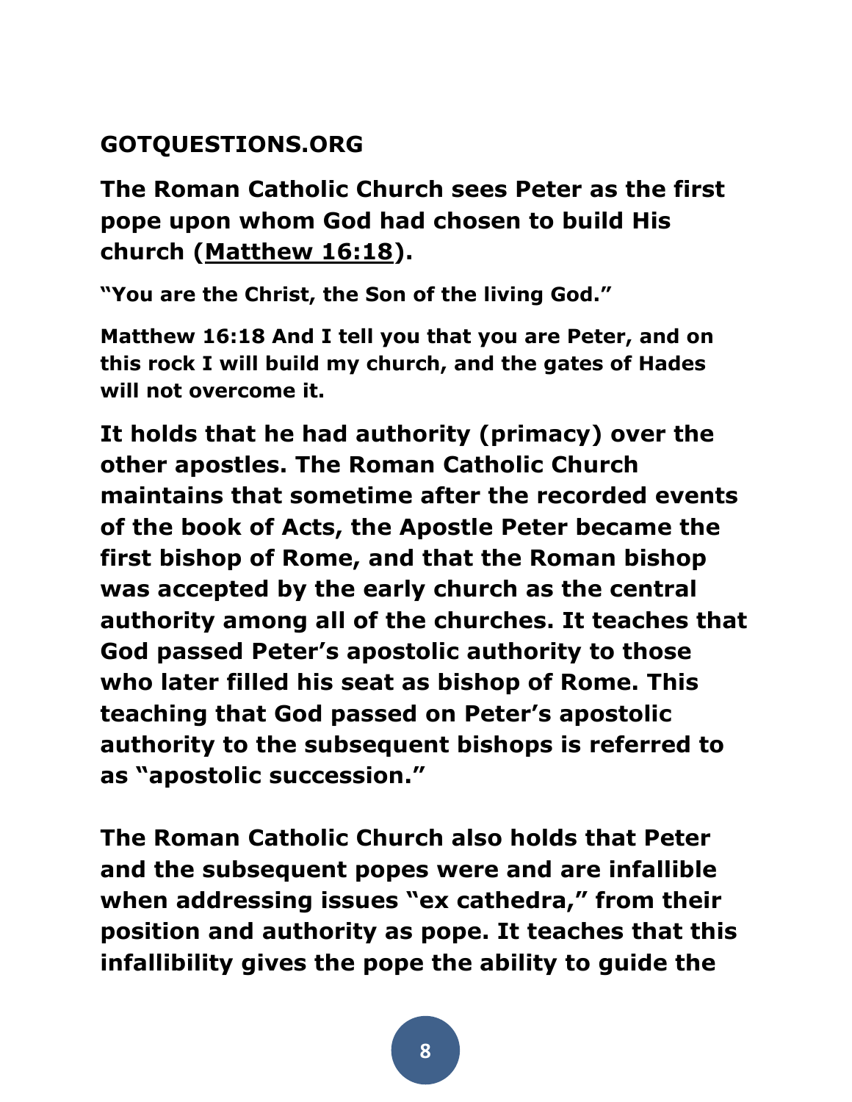### **GOTQUESTIONS.ORG**

**The Roman Catholic Church sees Peter as the first pope upon whom God had chosen to build His church [\(Matthew 16:18\)](http://biblia.com/bible/esv/Matthew%2016.18).** 

**"You are the Christ, the Son of the living God."**

**Matthew 16:18 And I tell you that you are Peter, and on this rock I will build my church, and the gates of Hades will not overcome it.**

**It holds that he had authority (primacy) over the other apostles. The Roman Catholic Church maintains that sometime after the recorded events of the book of Acts, the Apostle Peter became the first bishop of Rome, and that the Roman bishop was accepted by the early church as the central authority among all of the churches. It teaches that God passed Peter's apostolic authority to those who later filled his seat as bishop of Rome. This teaching that God passed on Peter's apostolic authority to the subsequent bishops is referred to as "apostolic succession."**

**The Roman Catholic Church also holds that Peter and the subsequent popes were and are infallible when addressing issues "ex cathedra," from their position and authority as pope. It teaches that this infallibility gives the pope the ability to guide the**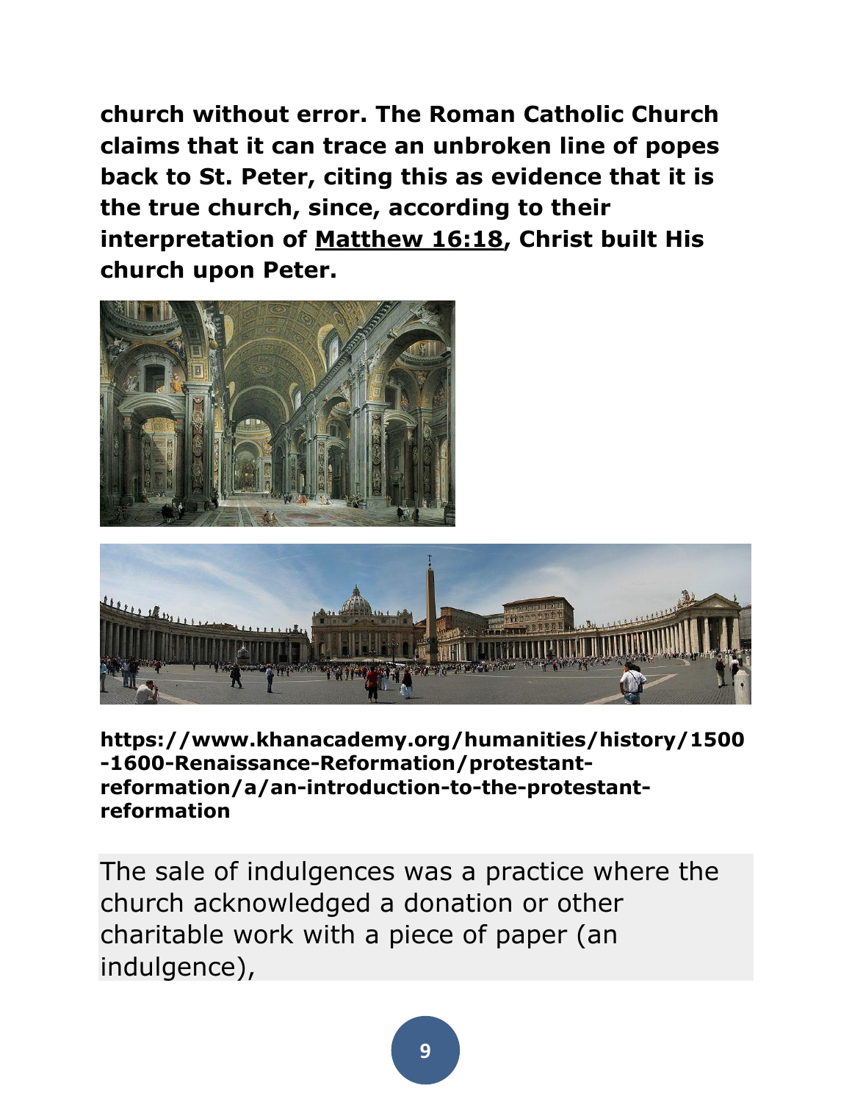**church without error. The Roman Catholic Church claims that it can trace an unbroken line of popes back to St. Peter, citing this as evidence that it is the true church, since, according to their interpretation of [Matthew 16:18,](http://biblia.com/bible/esv/Matthew%2016.18) Christ built His church upon Peter.**





**https://www.khanacademy.org/humanities/history/1500 -1600-Renaissance-Reformation/protestantreformation/a/an-introduction-to-the-protestantreformation**

The sale of indulgences was a practice where the church acknowledged a donation or other charitable work with a piece of paper (an indulgence),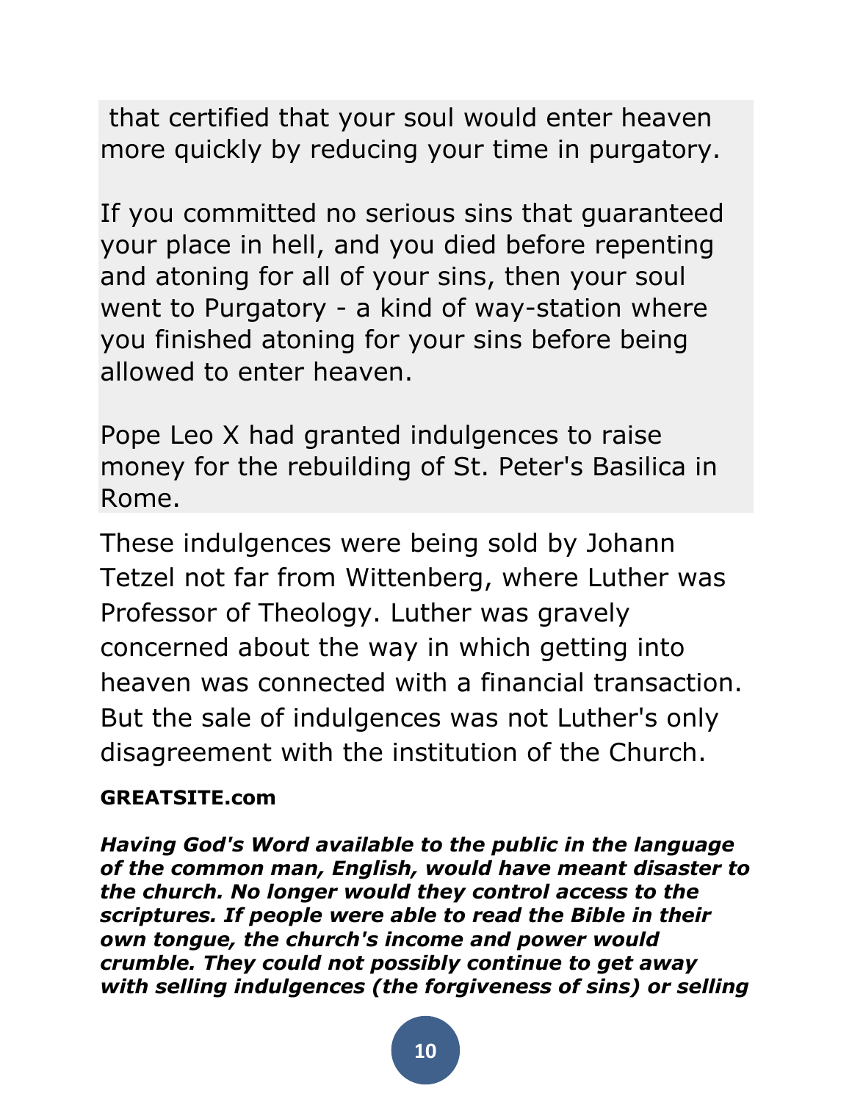that certified that your soul would enter heaven more quickly by reducing your time in purgatory.

If you committed no serious sins that guaranteed your place in hell, and you died before repenting and atoning for all of your sins, then your soul went to Purgatory - a kind of way-station where you finished atoning for your sins before being allowed to enter heaven.

Pope Leo X had granted indulgences to raise money for the rebuilding of St. Peter's Basilica in Rome.

These indulgences were being sold by Johann Tetzel not far from Wittenberg, where Luther was Professor of Theology. Luther was gravely concerned about the way in which getting into heaven was connected with a financial transaction. But the sale of indulgences was not Luther's only disagreement with the institution of the Church.

### **GREATSITE.com**

*Having God's Word available to the public in the language of the common man, English, would have meant disaster to the church. No longer would they control access to the scriptures. If people were able to read the Bible in their own tongue, the church's income and power would crumble. They could not possibly continue to get away with selling indulgences (the forgiveness of sins) or selling*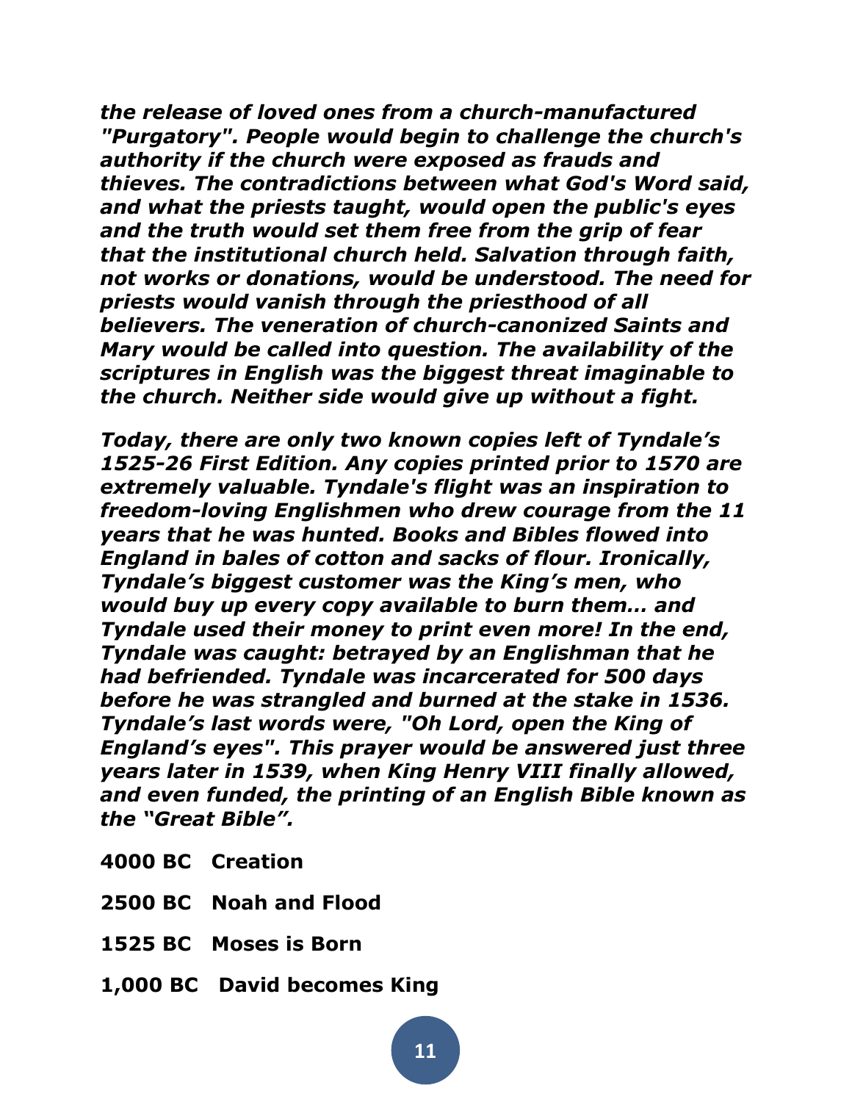*the release of loved ones from a church-manufactured "Purgatory". People would begin to challenge the church's authority if the church were exposed as frauds and thieves. The contradictions between what God's Word said, and what the priests taught, would open the public's eyes and the truth would set them free from the grip of fear that the institutional church held. Salvation through faith, not works or donations, would be understood. The need for priests would vanish through the priesthood of all believers. The veneration of church-canonized Saints and Mary would be called into question. The availability of the scriptures in English was the biggest threat imaginable to the church. Neither side would give up without a fight.*

*Today, there are only two known copies left of Tyndale's 1525-26 First Edition. Any copies printed prior to 1570 are extremely valuable. Tyndale's flight was an inspiration to freedom-loving Englishmen who drew courage from the 11 years that he was hunted. Books and Bibles flowed into England in bales of cotton and sacks of flour. Ironically, Tyndale's biggest customer was the King's men, who would buy up every copy available to burn them… and Tyndale used their money to print even more! In the end, Tyndale was caught: betrayed by an Englishman that he had befriended. Tyndale was incarcerated for 500 days before he was strangled and burned at the stake in 1536. Tyndale's last words were, "Oh Lord, open the King of England's eyes". This prayer would be answered just three years later in 1539, when King Henry VIII finally allowed, and even funded, the printing of an English Bible known as the "Great Bible".*

- **4000 BC Creation**
- **2500 BC Noah and Flood**
- **1525 BC Moses is Born**
- **1,000 BC David becomes King**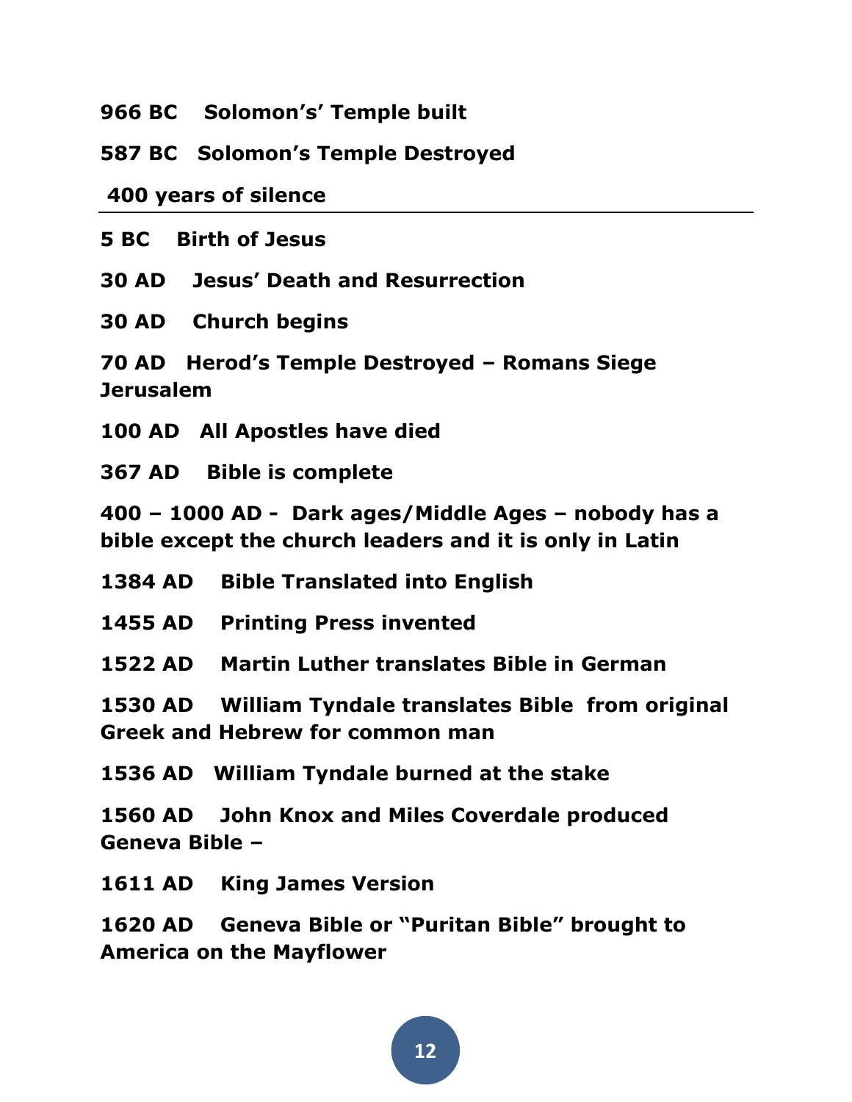**966 BC Solomon's' Temple built** 

**587 BC Solomon's Temple Destroyed**

**400 years of silence**

**5 BC Birth of Jesus** 

**30 AD Jesus' Death and Resurrection** 

**30 AD Church begins** 

**70 AD Herod's Temple Destroyed – Romans Siege Jerusalem** 

**100 AD All Apostles have died** 

**367 AD Bible is complete** 

**400 – 1000 AD - Dark ages/Middle Ages – nobody has a bible except the church leaders and it is only in Latin**

- **1384 AD Bible Translated into English**
- **1455 AD Printing Press invented**

**1522 AD Martin Luther translates Bible in German**

**1530 AD William Tyndale translates Bible from original Greek and Hebrew for common man**

**1536 AD William Tyndale burned at the stake**

**1560 AD John Knox and Miles Coverdale produced Geneva Bible –**

**1611 AD King James Version**

**1620 AD Geneva Bible or "Puritan Bible" brought to America on the Mayflower**